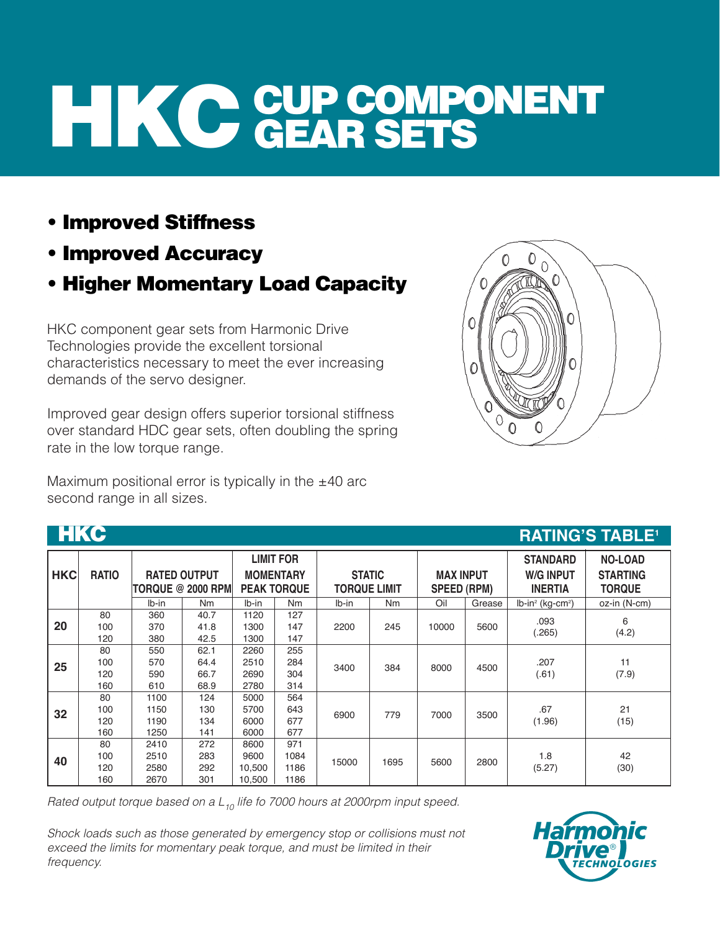## **HIKC GUP COMPONENT GEAR SETS**

- **Improved Stiffness**
- **Improved Accuracy**
- **Higher Momentary Load Capacity**

HKC component gear sets from Harmonic Drive Technologies provide the excellent torsional characteristics necessary to meet the ever increasing demands of the servo designer.

Improved gear design offers superior torsional stiffness over standard HDC gear sets, often doubling the spring rate in the low torque range.

Maximum positional error is typically in the  $±40$  arc second range in all sizes.



| <b>HKC</b> |                         |                              |                                                 |                                  |                                                            |                                      |           |                                        |        |                                                       | <b>RATING'S TABLE<sup>1</sup></b>                  |
|------------|-------------------------|------------------------------|-------------------------------------------------|----------------------------------|------------------------------------------------------------|--------------------------------------|-----------|----------------------------------------|--------|-------------------------------------------------------|----------------------------------------------------|
| <b>HKC</b> | <b>RATIO</b>            |                              | <b>RATED OUTPUT</b><br><b>TORQUE @ 2000 RPM</b> |                                  | <b>LIMIT FOR</b><br><b>MOMENTARY</b><br><b>PEAK TORQUE</b> | <b>STATIC</b><br><b>TORQUE LIMIT</b> |           | <b>MAX INPUT</b><br><b>SPEED (RPM)</b> |        | <b>STANDARD</b><br><b>W/G INPUT</b><br><b>INERTIA</b> | <b>NO-LOAD</b><br><b>STARTING</b><br><b>TORQUE</b> |
|            |                         | lb-in                        | N <sub>m</sub>                                  | $Ib-in$                          | N <sub>m</sub>                                             | $Ib-in$                              | <b>Nm</b> | Oil                                    | Grease | $lb$ -in <sup>2</sup> (kg-cm <sup>2</sup> )           | oz-in (N-cm)                                       |
| 20         | 80<br>100<br>120        | 360<br>370<br>380            | 40.7<br>41.8<br>42.5                            | 1120<br>1300<br>1300             | 127<br>147<br>147                                          | 2200                                 | 245       | 10000                                  | 5600   | .093<br>(265)                                         | 6<br>(4.2)                                         |
| 25         | 80<br>100<br>120<br>160 | 550<br>570<br>590<br>610     | 62.1<br>64.4<br>66.7<br>68.9                    | 2260<br>2510<br>2690<br>2780     | 255<br>284<br>304<br>314                                   | 3400                                 | 384       | 8000                                   | 4500   | .207<br>(.61)                                         | 11<br>(7.9)                                        |
| 32         | 80<br>100<br>120<br>160 | 1100<br>1150<br>1190<br>1250 | 124<br>130<br>134<br>141                        | 5000<br>5700<br>6000<br>6000     | 564<br>643<br>677<br>677                                   | 6900                                 | 779       | 7000                                   | 3500   | .67<br>(1.96)                                         | 21<br>(15)                                         |
| 40         | 80<br>100<br>120<br>160 | 2410<br>2510<br>2580<br>2670 | 272<br>283<br>292<br>301                        | 8600<br>9600<br>10,500<br>10,500 | 971<br>1084<br>1186<br>1186                                | 15000                                | 1695      | 5600                                   | 2800   | 1.8<br>(5.27)                                         | 42<br>(30)                                         |

Rated output torque based on a  $L_{10}$  life fo 7000 hours at 2000rpm input speed.

Shock loads such as those generated by emergency stop or collisions must not exceed the limits for momentary peak torque, and must be limited in their frequency.